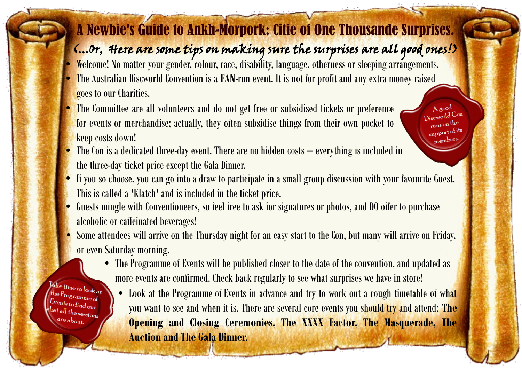## A Newbie's Guide to Ankh-Morpork: Citie of One Thousande Surprises.

## (...Or, Here are some tips on making sure the surprises are all good ones!)

Agood Discworld Con runs on the support of its members

- Welcome! No matter your gender, colour, race, disability, language, otherness or sleeping arrangements.
- The Australian Discworld Convention is a **FAN-**run event. It is not for profit and any extra money raised goes to our Charities.
- The Committee are all volunteers and do not get free or subsidised tickets or preference for events or merchandise; actually, they often subsidise things from their own pocket to keep costs down!
- The Con is a dedicated three-day event. There are no hidden costs  $-$  everything is included in the three-day ticket price except the Gala Dinner.
- If you so choose, you can go into a draw to participate in a small group discussion with your favourite Guest. This is called a 'Klatch' and is included in the ticket price.
- Guests mingle with Conventioneers, so feel free to ask for signatures or photos, and DO offer to purchase alcoholic or caffeinated beverages!
- Some attendees will arrive on the Thursday night for an easy start to the Con, but many will arrive on Friday, or even Saturday morning.
	- The Programme of Events will be published closer to the date of the convention, and updated as more events are confirmed. Check back regularly to see what surprises we have in store!

• Look at the [Programme of Events](https://2021.ausdwcon.org/nullus-anxietas-7a/programme-of-events/) in advance and try to work out a rough timetable of what you want to see and when it is. There are several core events you should try and attend: **The Opening and Closing Ceremonies, The XXXX Factor, The Masquerade, The Auction and The Gala Dinner**.

 $\int_{t}^{t}$  ake time to look at  $\epsilon_{\text{the}}$   $P_{\text{rogramme of}}$  $E_{\text{vents}}$  to find out  $\frac{h_{\text{at all}}}{h_{\text{e}}}\frac{h_{\text{d}}}{h_{\text{e}}}\frac{h_{\text{d}}}{h_{\text{e}}}\frac{h_{\text{e}}}{h_{\text{e}}}\frac{h_{\text{e}}}{h_{\text{e}}}\frac{h_{\text{e}}}{h_{\text{e}}}\frac{h_{\text{e}}}{h_{\text{e}}}\frac{h_{\text{e}}}{h_{\text{e}}}\frac{h_{\text{e}}}{h_{\text{e}}}\frac{h_{\text{e}}}{h_{\text{e}}}\frac{h_{\text{e}}}{h_{\text{e}}}\frac{h_{\text{e}}}{h_{\text{e}}}\frac{$  $are about$